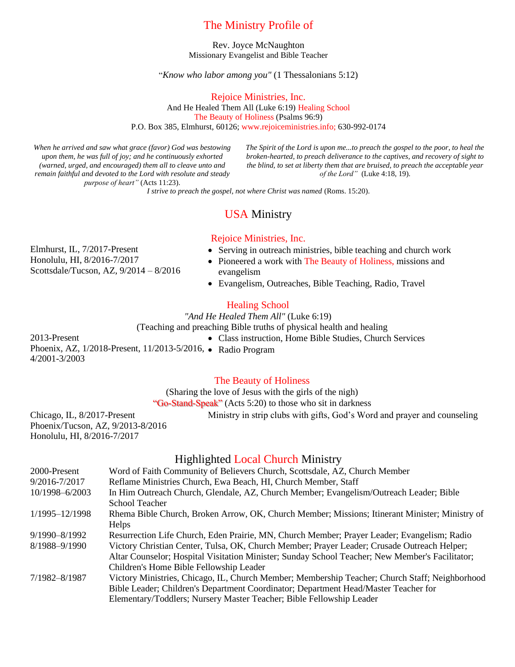## The Ministry Profile of

Rev. Joyce McNaughton Missionary Evangelist and Bible Teacher

"*Know who labor among you"* (1 Thessalonians 5:12)

Rejoice Ministries, Inc.

And He Healed Them All (Luke 6:19) Healing School The Beauty of Holiness (Psalms 96:9) P.O. Box 385, Elmhurst, 60126; www.rejoiceministries.info; 630-992-0174

*When he arrived and saw what grace (favor) God was bestowing upon them, he was full of joy; and he continuously exhorted (warned, urged, and encouraged) them all to cleave unto and remain faithful and devoted to the Lord with resolute and steady purpose of heart"* (Acts 11:23).

*The Spirit of the Lord is upon me...to preach the gospel to the poor, to heal the broken-hearted, to preach deliverance to the captives, and recovery of sight to the blind, to set at liberty them that are bruised, to preach the acceptable year of the Lord"* (Luke 4:18, 19).

*I strive to preach the gospel, not where Christ was named (Roms. 15:20).* 

# USA Ministry

### Rejoice Ministries, Inc.

Elmhurst, IL, 7/2017-Present Honolulu, HI, 8/2016-7/2017 Scottsdale/Tucson, AZ, 9/2014 – 8/2016

- Serving in outreach ministries, bible teaching and church work
- Pioneered a work with The Beauty of Holiness, missions and evangelism
- Evangelism, Outreaches, Bible Teaching, Radio, Travel

### Healing School

*"And He Healed Them All"* (Luke 6:19) (Teaching and preaching Bible truths of physical health and healing

2013-Present Phoenix, AZ, 1/2018-Present, 11/2013-5/2016, • Radio Program 4/2001-3/2003

• Class instruction, Home Bible Studies, Church Services

#### The Beauty of Holiness

(Sharing the love of Jesus with the girls of the nigh)

"Go-Stand-Speak" (Acts 5:20) to those who sit in darkness

Ministry in strip clubs with gifts, God's Word and prayer and counseling

Chicago, IL, 8/2017-Present Phoenix/Tucson, AZ, 9/2013-8/2016 Honolulu, HI, 8/2016-7/2017

### Highlighted Local Church Ministry

| 2000-Present   | Word of Faith Community of Believers Church, Scottsdale, AZ, Church Member                      |
|----------------|-------------------------------------------------------------------------------------------------|
| 9/2016-7/2017  | Reflame Ministries Church, Ewa Beach, HI, Church Member, Staff                                  |
| 10/1998-6/2003 | In Him Outreach Church, Glendale, AZ, Church Member; Evangelism/Outreach Leader; Bible          |
|                | School Teacher                                                                                  |
| 1/1995-12/1998 | Rhema Bible Church, Broken Arrow, OK, Church Member; Missions; Itinerant Minister; Ministry of  |
|                | Helps                                                                                           |
| 9/1990-8/1992  | Resurrection Life Church, Eden Prairie, MN, Church Member; Prayer Leader; Evangelism; Radio     |
| 8/1988-9/1990  | Victory Christian Center, Tulsa, OK, Church Member; Prayer Leader; Crusade Outreach Helper;     |
|                | Altar Counselor; Hospital Visitation Minister; Sunday School Teacher; New Member's Facilitator; |
|                | Children's Home Bible Fellowship Leader                                                         |
| 7/1982-8/1987  | Victory Ministries, Chicago, IL, Church Member; Membership Teacher; Church Staff; Neighborhood  |
|                | Bible Leader; Children's Department Coordinator; Department Head/Master Teacher for             |
|                | Elementary/Toddlers; Nursery Master Teacher; Bible Fellowship Leader                            |